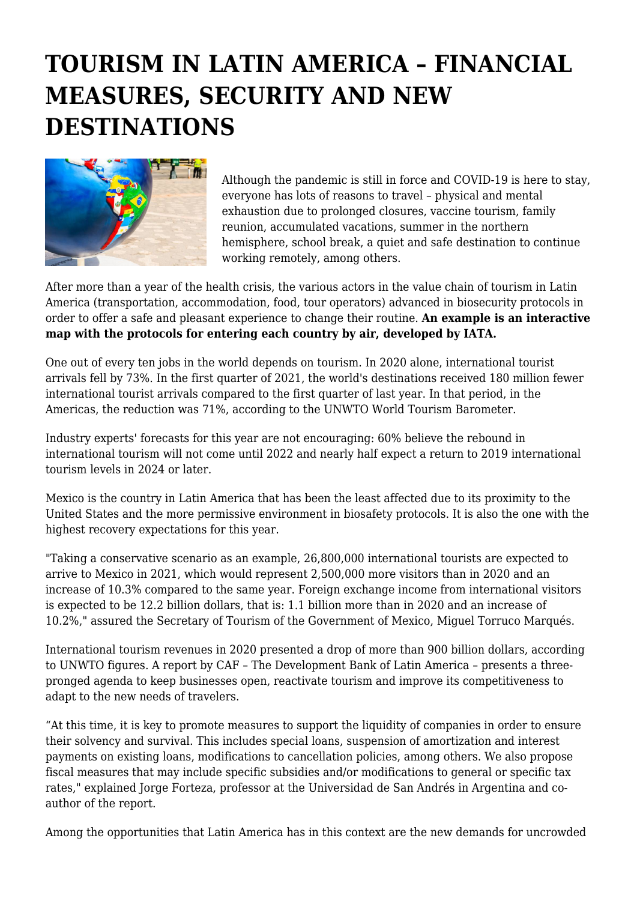## **TOURISM IN LATIN AMERICA – FINANCIAL MEASURES, SECURITY AND NEW DESTINATIONS**



Although the pandemic is still in force and COVID-19 is here to stay, everyone has lots of reasons to travel – physical and mental exhaustion due to prolonged closures, vaccine tourism, family reunion, accumulated vacations, summer in the northern hemisphere, school break, a quiet and safe destination to continue working remotely, among others.

After more than a year of the health crisis, the various actors in the value chain of tourism in Latin America (transportation, accommodation, food, tour operators) advanced in biosecurity protocols in order to offer a safe and pleasant experience to change their routine. **An example is an interactive map with the protocols for entering each country by air, developed by IATA.**

One out of every ten jobs in the world depends on tourism. In 2020 alone, international tourist arrivals fell by 73%. In the first quarter of 2021, the world's destinations received 180 million fewer international tourist arrivals compared to the first quarter of last year. In that period, in the Americas, the reduction was 71%, according to the UNWTO World Tourism Barometer.

Industry experts' forecasts for this year are not encouraging: 60% believe the rebound in international tourism will not come until 2022 and nearly half expect a return to 2019 international tourism levels in 2024 or later.

Mexico is the country in Latin America that has been the least affected due to its proximity to the United States and the more permissive environment in biosafety protocols. It is also the one with the highest recovery expectations for this year.

"Taking a conservative scenario as an example, 26,800,000 international tourists are expected to arrive to Mexico in 2021, which would represent 2,500,000 more visitors than in 2020 and an increase of 10.3% compared to the same year. Foreign exchange income from international visitors is expected to be 12.2 billion dollars, that is: 1.1 billion more than in 2020 and an increase of 10.2%," assured the Secretary of Tourism of the Government of Mexico, Miguel Torruco Marqués.

International tourism revenues in 2020 presented a drop of more than 900 billion dollars, according to UNWTO figures. A report by CAF – The Development Bank of Latin America – presents a threepronged agenda to keep businesses open, reactivate tourism and improve its competitiveness to adapt to the new needs of travelers.

"At this time, it is key to promote measures to support the liquidity of companies in order to ensure their solvency and survival. This includes special loans, suspension of amortization and interest payments on existing loans, modifications to cancellation policies, among others. We also propose fiscal measures that may include specific subsidies and/or modifications to general or specific tax rates," explained Jorge Forteza, professor at the Universidad de San Andrés in Argentina and coauthor of the report.

Among the opportunities that Latin America has in this context are the new demands for uncrowded